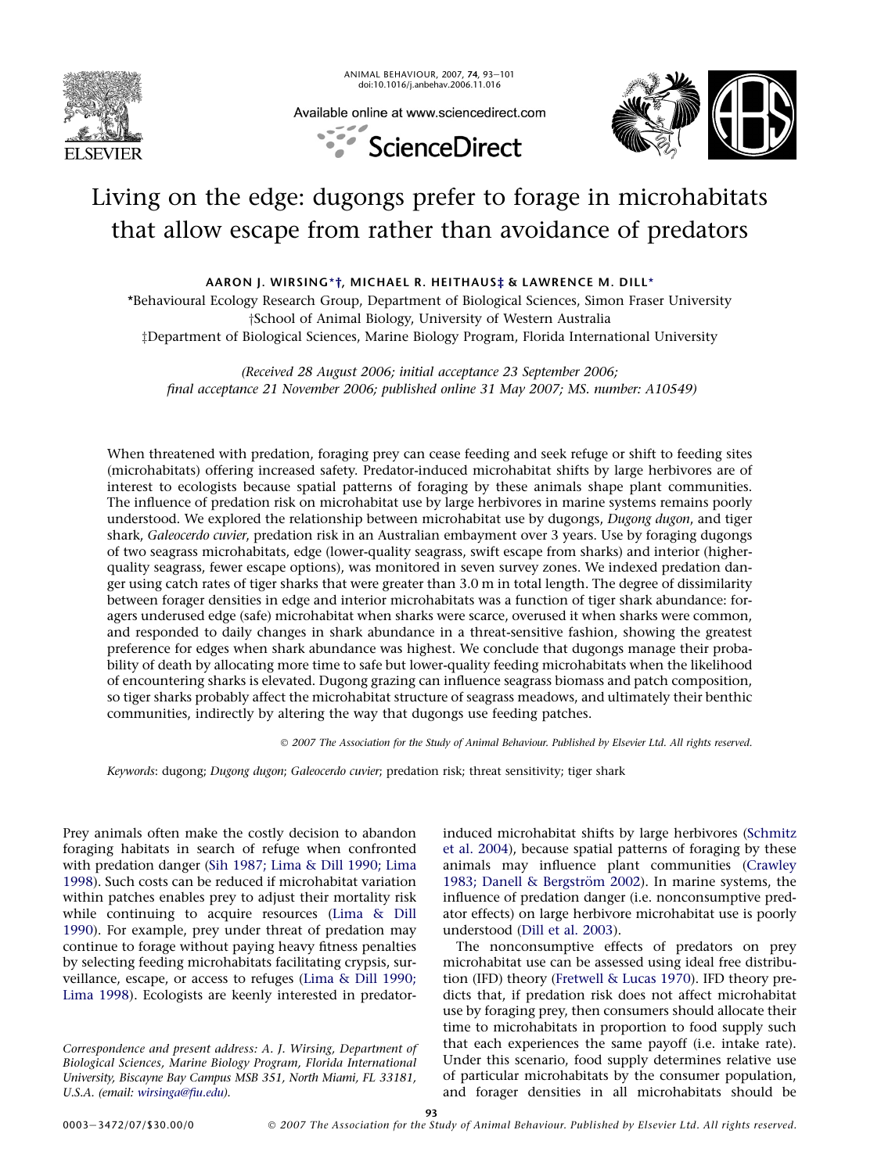

ANIMAL BEHAVIOUR, 2007, 74, 93-101 doi:10.1016/j.anbehav.2006.11.016



Available online at www.sciencedirect.com



# Living on the edge: dugongs prefer to forage in microhabitats that allow escape from rather than avoidance of predators

AARON J. WIRSING\*†, MICHAEL R. HEITHAUS‡ & LAWRENCE M. DILL\*

\*Behavioural Ecology Research Group, Department of Biological Sciences, Simon Fraser University <sup>†</sup>School of Animal Biology, University of Western Australia zDepartment of Biological Sciences, Marine Biology Program, Florida International University

(Received 28 August 2006; initial acceptance 23 September 2006; final acceptance 21 November 2006; published online 31 May 2007; MS. number: A10549)

When threatened with predation, foraging prey can cease feeding and seek refuge or shift to feeding sites (microhabitats) offering increased safety. Predator-induced microhabitat shifts by large herbivores are of interest to ecologists because spatial patterns of foraging by these animals shape plant communities. The influence of predation risk on microhabitat use by large herbivores in marine systems remains poorly understood. We explored the relationship between microhabitat use by dugongs, Dugong dugon, and tiger shark, Galeocerdo cuvier, predation risk in an Australian embayment over 3 years. Use by foraging dugongs of two seagrass microhabitats, edge (lower-quality seagrass, swift escape from sharks) and interior (higherquality seagrass, fewer escape options), was monitored in seven survey zones. We indexed predation danger using catch rates of tiger sharks that were greater than 3.0 m in total length. The degree of dissimilarity between forager densities in edge and interior microhabitats was a function of tiger shark abundance: foragers underused edge (safe) microhabitat when sharks were scarce, overused it when sharks were common, and responded to daily changes in shark abundance in a threat-sensitive fashion, showing the greatest preference for edges when shark abundance was highest. We conclude that dugongs manage their probability of death by allocating more time to safe but lower-quality feeding microhabitats when the likelihood of encountering sharks is elevated. Dugong grazing can influence seagrass biomass and patch composition, so tiger sharks probably affect the microhabitat structure of seagrass meadows, and ultimately their benthic communities, indirectly by altering the way that dugongs use feeding patches.

- 2007 The Association for the Study of Animal Behaviour. Published by Elsevier Ltd. All rights reserved.

Keywords: dugong; Dugong dugon; Galeocerdo cuvier; predation risk; threat sensitivity; tiger shark

Prey animals often make the costly decision to abandon foraging habitats in search of refuge when confronted with predation danger [\(Sih 1987; Lima & Dill 1990; Lima](#page-8-0) [1998](#page-8-0)). Such costs can be reduced if microhabitat variation within patches enables prey to adjust their mortality risk while continuing to acquire resources ([Lima & Dill](#page-8-0) [1990](#page-8-0)). For example, prey under threat of predation may continue to forage without paying heavy fitness penalties by selecting feeding microhabitats facilitating crypsis, surveillance, escape, or access to refuges [\(Lima & Dill 1990;](#page-8-0) [Lima 1998](#page-8-0)). Ecologists are keenly interested in predator-

Correspondence and present address: A. J. Wirsing, Department of Biological Sciences, Marine Biology Program, Florida International University, Biscayne Bay Campus MSB 351, North Miami, FL 33181, U.S.A. (email: [wirsinga@fiu.edu](mailto:wirsinga@fiu.edu)).

induced microhabitat shifts by large herbivores [\(Schmitz](#page-8-0) [et al. 2004\)](#page-8-0), because spatial patterns of foraging by these animals may influence plant communities [\(Crawley](#page-7-0) 1983; Danell & Bergström 2002). In marine systems, the influence of predation danger (i.e. nonconsumptive predator effects) on large herbivore microhabitat use is poorly understood ([Dill et al. 2003\)](#page-7-0).

The nonconsumptive effects of predators on prey microhabitat use can be assessed using ideal free distribution (IFD) theory ([Fretwell & Lucas 1970](#page-7-0)). IFD theory predicts that, if predation risk does not affect microhabitat use by foraging prey, then consumers should allocate their time to microhabitats in proportion to food supply such that each experiences the same payoff (i.e. intake rate). Under this scenario, food supply determines relative use of particular microhabitats by the consumer population, and forager densities in all microhabitats should be

93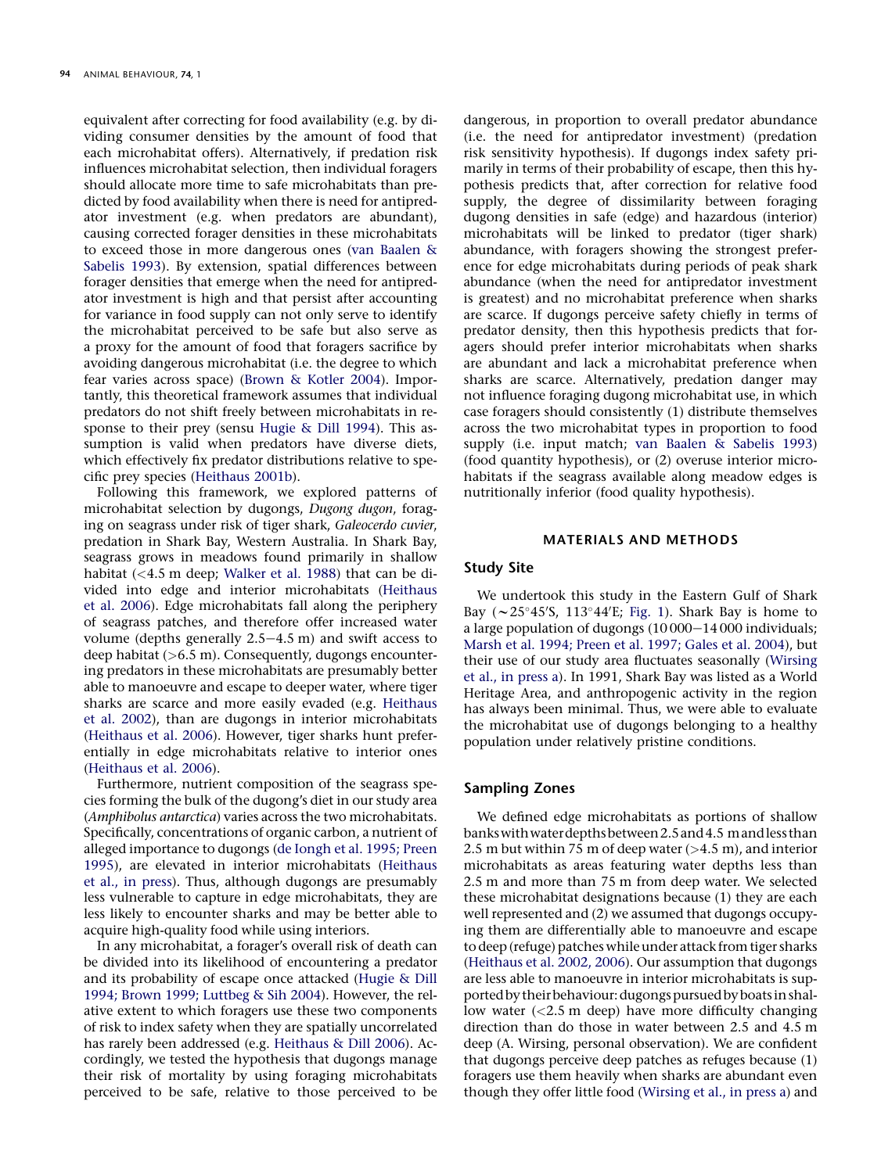equivalent after correcting for food availability (e.g. by dividing consumer densities by the amount of food that each microhabitat offers). Alternatively, if predation risk influences microhabitat selection, then individual foragers should allocate more time to safe microhabitats than predicted by food availability when there is need for antipredator investment (e.g. when predators are abundant), causing corrected forager densities in these microhabitats to exceed those in more dangerous ones ([van Baalen &](#page-7-0) [Sabelis 1993](#page-7-0)). By extension, spatial differences between forager densities that emerge when the need for antipredator investment is high and that persist after accounting for variance in food supply can not only serve to identify the microhabitat perceived to be safe but also serve as a proxy for the amount of food that foragers sacrifice by avoiding dangerous microhabitat (i.e. the degree to which fear varies across space) [\(Brown & Kotler 2004\)](#page-7-0). Importantly, this theoretical framework assumes that individual predators do not shift freely between microhabitats in response to their prey (sensu [Hugie & Dill 1994](#page-7-0)). This assumption is valid when predators have diverse diets, which effectively fix predator distributions relative to specific prey species [\(Heithaus 2001b\)](#page-7-0).

Following this framework, we explored patterns of microhabitat selection by dugongs, Dugong dugon, foraging on seagrass under risk of tiger shark, Galeocerdo cuvier, predation in Shark Bay, Western Australia. In Shark Bay, seagrass grows in meadows found primarily in shallow habitat (<4.5 m deep; [Walker et al. 1988](#page-8-0)) that can be divided into edge and interior microhabitats ([Heithaus](#page-7-0) [et al. 2006\)](#page-7-0). Edge microhabitats fall along the periphery of seagrass patches, and therefore offer increased water volume (depths generally  $2.5-4.5$  m) and swift access to deep habitat  $(>6.5 \text{ m})$ . Consequently, dugongs encountering predators in these microhabitats are presumably better able to manoeuvre and escape to deeper water, where tiger sharks are scarce and more easily evaded (e.g. [Heithaus](#page-7-0) [et al. 2002\)](#page-7-0), than are dugongs in interior microhabitats ([Heithaus et al. 2006\)](#page-7-0). However, tiger sharks hunt preferentially in edge microhabitats relative to interior ones ([Heithaus et al. 2006](#page-7-0)).

Furthermore, nutrient composition of the seagrass species forming the bulk of the dugong's diet in our study area (Amphibolus antarctica) varies across the two microhabitats. Specifically, concentrations of organic carbon, a nutrient of alleged importance to dugongs [\(de Iongh et al. 1995; Preen](#page-7-0) [1995](#page-7-0)), are elevated in interior microhabitats ([Heithaus](#page-7-0) [et al., in press](#page-7-0)). Thus, although dugongs are presumably less vulnerable to capture in edge microhabitats, they are less likely to encounter sharks and may be better able to acquire high-quality food while using interiors.

In any microhabitat, a forager's overall risk of death can be divided into its likelihood of encountering a predator and its probability of escape once attacked [\(Hugie & Dill](#page-7-0) [1994; Brown 1999; Luttbeg & Sih 2004](#page-7-0)). However, the relative extent to which foragers use these two components of risk to index safety when they are spatially uncorrelated has rarely been addressed (e.g. [Heithaus & Dill 2006\)](#page-7-0). Accordingly, we tested the hypothesis that dugongs manage their risk of mortality by using foraging microhabitats perceived to be safe, relative to those perceived to be

dangerous, in proportion to overall predator abundance (i.e. the need for antipredator investment) (predation risk sensitivity hypothesis). If dugongs index safety primarily in terms of their probability of escape, then this hypothesis predicts that, after correction for relative food supply, the degree of dissimilarity between foraging dugong densities in safe (edge) and hazardous (interior) microhabitats will be linked to predator (tiger shark) abundance, with foragers showing the strongest preference for edge microhabitats during periods of peak shark abundance (when the need for antipredator investment is greatest) and no microhabitat preference when sharks are scarce. If dugongs perceive safety chiefly in terms of predator density, then this hypothesis predicts that foragers should prefer interior microhabitats when sharks are abundant and lack a microhabitat preference when sharks are scarce. Alternatively, predation danger may not influence foraging dugong microhabitat use, in which case foragers should consistently (1) distribute themselves across the two microhabitat types in proportion to food supply (i.e. input match; [van Baalen & Sabelis 1993\)](#page-7-0) (food quantity hypothesis), or (2) overuse interior microhabitats if the seagrass available along meadow edges is nutritionally inferior (food quality hypothesis).

## MATERIALS AND METHODS

## Study Site

We undertook this study in the Eastern Gulf of Shark Bay ( $\sim$  25°45'S, 113°44'E; [Fig. 1\)](#page-2-0). Shark Bay is home to a large population of dugongs  $(10000-14000$  individuals; [Marsh et al. 1994; Preen et al. 1997; Gales et al. 2004\)](#page-8-0), but their use of our study area fluctuates seasonally [\(Wirsing](#page-8-0) [et al., in press a\)](#page-8-0). In 1991, Shark Bay was listed as a World Heritage Area, and anthropogenic activity in the region has always been minimal. Thus, we were able to evaluate the microhabitat use of dugongs belonging to a healthy population under relatively pristine conditions.

## Sampling Zones

We defined edge microhabitats as portions of shallow bankswithwaterdepthsbetween2.5 and4.5 m and less than 2.5 m but within 75 m of deep water  $(>4.5$  m), and interior microhabitats as areas featuring water depths less than 2.5 m and more than 75 m from deep water. We selected these microhabitat designations because (1) they are each well represented and (2) we assumed that dugongs occupying them are differentially able to manoeuvre and escape to deep (refuge) patches while under attack from tiger sharks ([Heithaus et al. 2002, 2006\)](#page-7-0). Our assumption that dugongs are less able to manoeuvre in interior microhabitats is supported by their behaviour: dugongs pursued by boats in shallow water (<2.5 m deep) have more difficulty changing direction than do those in water between 2.5 and 4.5 m deep (A. Wirsing, personal observation). We are confident that dugongs perceive deep patches as refuges because (1) foragers use them heavily when sharks are abundant even though they offer little food [\(Wirsing et al., in press a\)](#page-8-0) and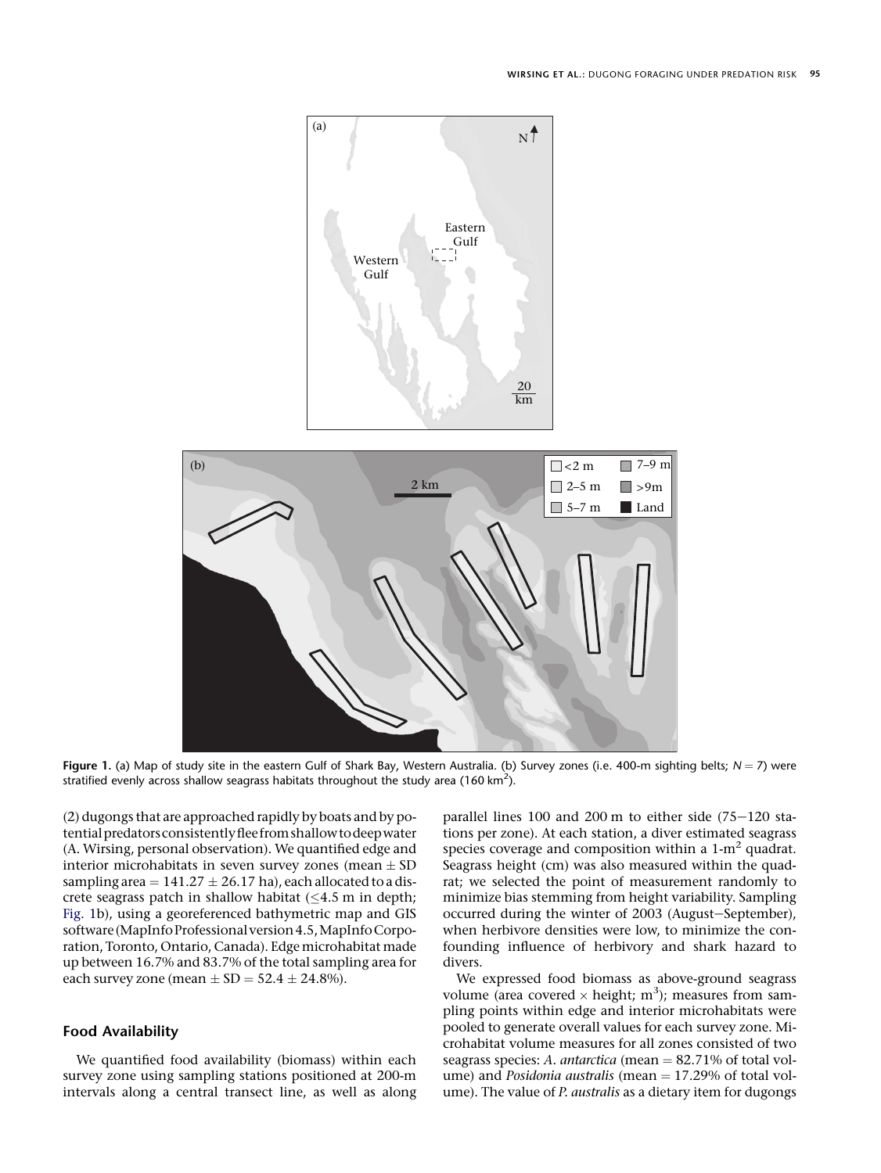<span id="page-2-0"></span>

Figure 1. (a) Map of study site in the eastern Gulf of Shark Bay, Western Australia. (b) Survey zones (i.e. 400-m sighting belts;  $N = 7$ ) were stratified evenly across shallow seagrass habitats throughout the study area (160 km<sup>2</sup>).

(2) dugongs that are approached rapidly by boats and by potential predators consistently flee from shallow to deep water (A. Wirsing, personal observation). We quantified edge and interior microhabitats in seven survey zones (mean  $\pm$  SD sampling area  $= 141.27 \pm 26.17$  ha), each allocated to a discrete seagrass patch in shallow habitat  $(\leq 4.5 \text{ m in depth})$ ; Fig. 1b), using a georeferenced bathymetric map and GIS software (MapInfo Professional version 4.5, MapInfo Corporation, Toronto, Ontario, Canada). Edge microhabitat made up between 16.7% and 83.7% of the total sampling area for each survey zone (mean  $\pm$  SD = 52.4  $\pm$  24.8%).

## Food Availability

We quantified food availability (biomass) within each survey zone using sampling stations positioned at 200-m intervals along a central transect line, as well as along parallel lines  $100$  and  $200$  m to either side  $(75-120$  stations per zone). At each station, a diver estimated seagrass species coverage and composition within a  $1-m^2$  quadrat. Seagrass height (cm) was also measured within the quadrat; we selected the point of measurement randomly to minimize bias stemming from height variability. Sampling occurred during the winter of 2003 (August–September), when herbivore densities were low, to minimize the confounding influence of herbivory and shark hazard to divers.

We expressed food biomass as above-ground seagrass volume (area covered  $\times$  height; m<sup>3</sup>); measures from sampling points within edge and interior microhabitats were pooled to generate overall values for each survey zone. Microhabitat volume measures for all zones consisted of two seagrass species: A. antarctica (mean  $= 82.71\%$  of total volume) and Posidonia australis (mean  $= 17.29\%$  of total volume). The value of P. australis as a dietary item for dugongs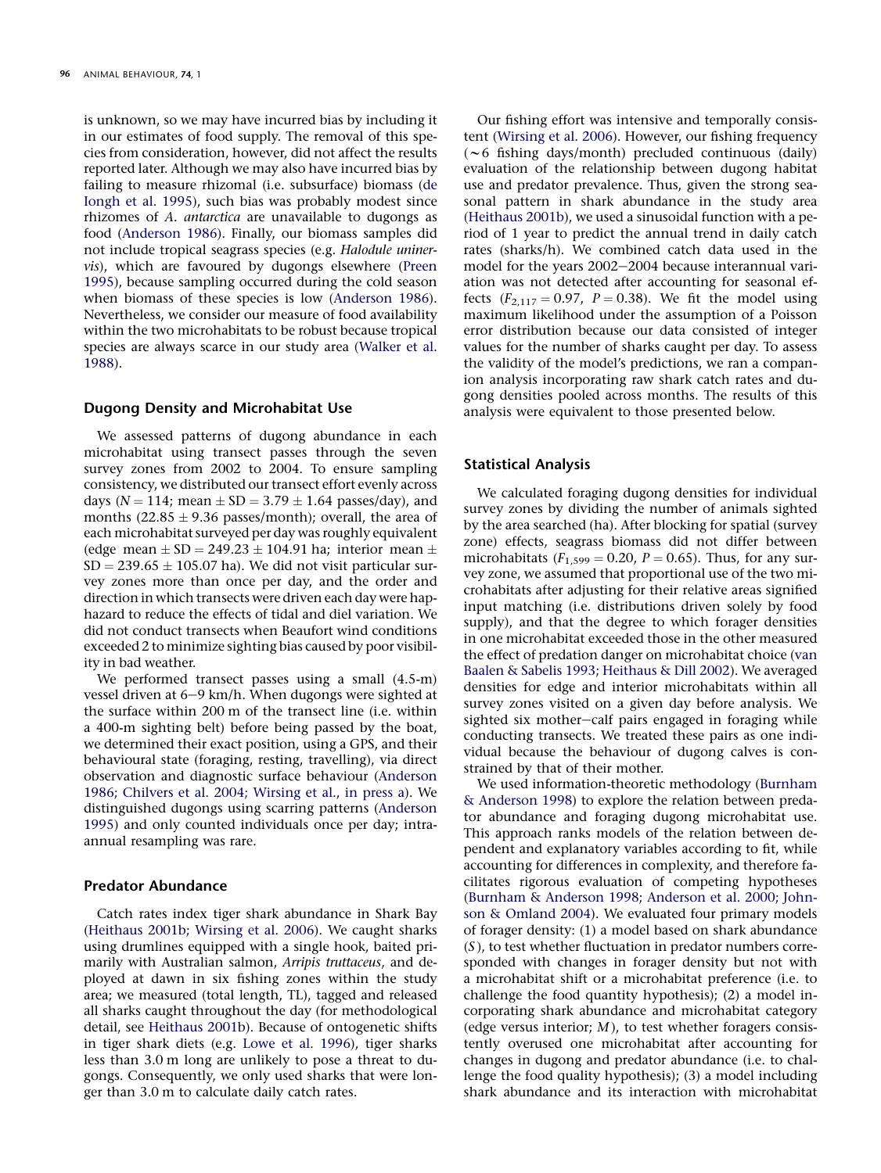is unknown, so we may have incurred bias by including it in our estimates of food supply. The removal of this species from consideration, however, did not affect the results reported later. Although we may also have incurred bias by failing to measure rhizomal (i.e. subsurface) biomass ([de](#page-7-0) [Iongh et al. 1995](#page-7-0)), such bias was probably modest since rhizomes of A. antarctica are unavailable to dugongs as food ([Anderson 1986\)](#page-7-0). Finally, our biomass samples did not include tropical seagrass species (e.g. Halodule uninervis), which are favoured by dugongs elsewhere ([Preen](#page-8-0) [1995](#page-8-0)), because sampling occurred during the cold season when biomass of these species is low ([Anderson 1986](#page-7-0)). Nevertheless, we consider our measure of food availability within the two microhabitats to be robust because tropical species are always scarce in our study area ([Walker et al.](#page-8-0) [1988](#page-8-0)).

## Dugong Density and Microhabitat Use

We assessed patterns of dugong abundance in each microhabitat using transect passes through the seven survey zones from 2002 to 2004. To ensure sampling consistency, we distributed our transect effort evenly across days ( $N = 114$ ; mean  $\pm SD = 3.79 \pm 1.64$  passes/day), and months (22.85  $\pm$  9.36 passes/month); overall, the area of each microhabitat surveyed per day was roughly equivalent (edge mean  $\pm$  SD = 249.23  $\pm$  104.91 ha; interior mean  $\pm$  $SD = 239.65 \pm 105.07$  ha). We did not visit particular survey zones more than once per day, and the order and direction in which transects were driven each day were haphazard to reduce the effects of tidal and diel variation. We did not conduct transects when Beaufort wind conditions exceeded 2 to minimize sighting bias caused by poor visibility in bad weather.

We performed transect passes using a small (4.5-m) vessel driven at  $6-9$  km/h. When dugongs were sighted at the surface within 200 m of the transect line (i.e. within a 400-m sighting belt) before being passed by the boat, we determined their exact position, using a GPS, and their behavioural state (foraging, resting, travelling), via direct observation and diagnostic surface behaviour ([Anderson](#page-7-0) [1986; Chilvers et al. 2004; Wirsing et al., in press a\)](#page-7-0). We distinguished dugongs using scarring patterns ([Anderson](#page-7-0) [1995](#page-7-0)) and only counted individuals once per day; intraannual resampling was rare.

# Predator Abundance

Catch rates index tiger shark abundance in Shark Bay ([Heithaus 2001b; Wirsing et al. 2006\)](#page-7-0). We caught sharks using drumlines equipped with a single hook, baited primarily with Australian salmon, Arripis truttaceus, and deployed at dawn in six fishing zones within the study area; we measured (total length, TL), tagged and released all sharks caught throughout the day (for methodological detail, see [Heithaus 2001b](#page-7-0)). Because of ontogenetic shifts in tiger shark diets (e.g. [Lowe et al. 1996](#page-8-0)), tiger sharks less than 3.0 m long are unlikely to pose a threat to dugongs. Consequently, we only used sharks that were longer than 3.0 m to calculate daily catch rates.

Our fishing effort was intensive and temporally consistent [\(Wirsing et al. 2006](#page-8-0)). However, our fishing frequency  $(\sim 6$  fishing days/month) precluded continuous (daily) evaluation of the relationship between dugong habitat use and predator prevalence. Thus, given the strong seasonal pattern in shark abundance in the study area ([Heithaus 2001b\)](#page-7-0), we used a sinusoidal function with a period of 1 year to predict the annual trend in daily catch rates (sharks/h). We combined catch data used in the model for the years 2002-2004 because interannual variation was not detected after accounting for seasonal effects ( $F_{2,117} = 0.97$ ,  $P = 0.38$ ). We fit the model using maximum likelihood under the assumption of a Poisson error distribution because our data consisted of integer values for the number of sharks caught per day. To assess the validity of the model's predictions, we ran a companion analysis incorporating raw shark catch rates and dugong densities pooled across months. The results of this analysis were equivalent to those presented below.

## Statistical Analysis

We calculated foraging dugong densities for individual survey zones by dividing the number of animals sighted by the area searched (ha). After blocking for spatial (survey zone) effects, seagrass biomass did not differ between microhabitats ( $F_{1,599} = 0.20$ ,  $P = 0.65$ ). Thus, for any survey zone, we assumed that proportional use of the two microhabitats after adjusting for their relative areas signified input matching (i.e. distributions driven solely by food supply), and that the degree to which forager densities in one microhabitat exceeded those in the other measured the effect of predation danger on microhabitat choice [\(van](#page-7-0) [Baalen & Sabelis 1993; Heithaus & Dill 2002\)](#page-7-0). We averaged densities for edge and interior microhabitats within all survey zones visited on a given day before analysis. We sighted six mother-calf pairs engaged in foraging while conducting transects. We treated these pairs as one individual because the behaviour of dugong calves is constrained by that of their mother.

We used information-theoretic methodology ([Burnham](#page-7-0) [& Anderson 1998](#page-7-0)) to explore the relation between predator abundance and foraging dugong microhabitat use. This approach ranks models of the relation between dependent and explanatory variables according to fit, while accounting for differences in complexity, and therefore facilitates rigorous evaluation of competing hypotheses ([Burnham & Anderson 1998; Anderson et al. 2000; John](#page-7-0)[son & Omland 2004\)](#page-7-0). We evaluated four primary models of forager density: (1) a model based on shark abundance  $(S)$ , to test whether fluctuation in predator numbers corresponded with changes in forager density but not with a microhabitat shift or a microhabitat preference (i.e. to challenge the food quantity hypothesis); (2) a model incorporating shark abundance and microhabitat category (edge versus interior;  $M$ ), to test whether foragers consistently overused one microhabitat after accounting for changes in dugong and predator abundance (i.e. to challenge the food quality hypothesis); (3) a model including shark abundance and its interaction with microhabitat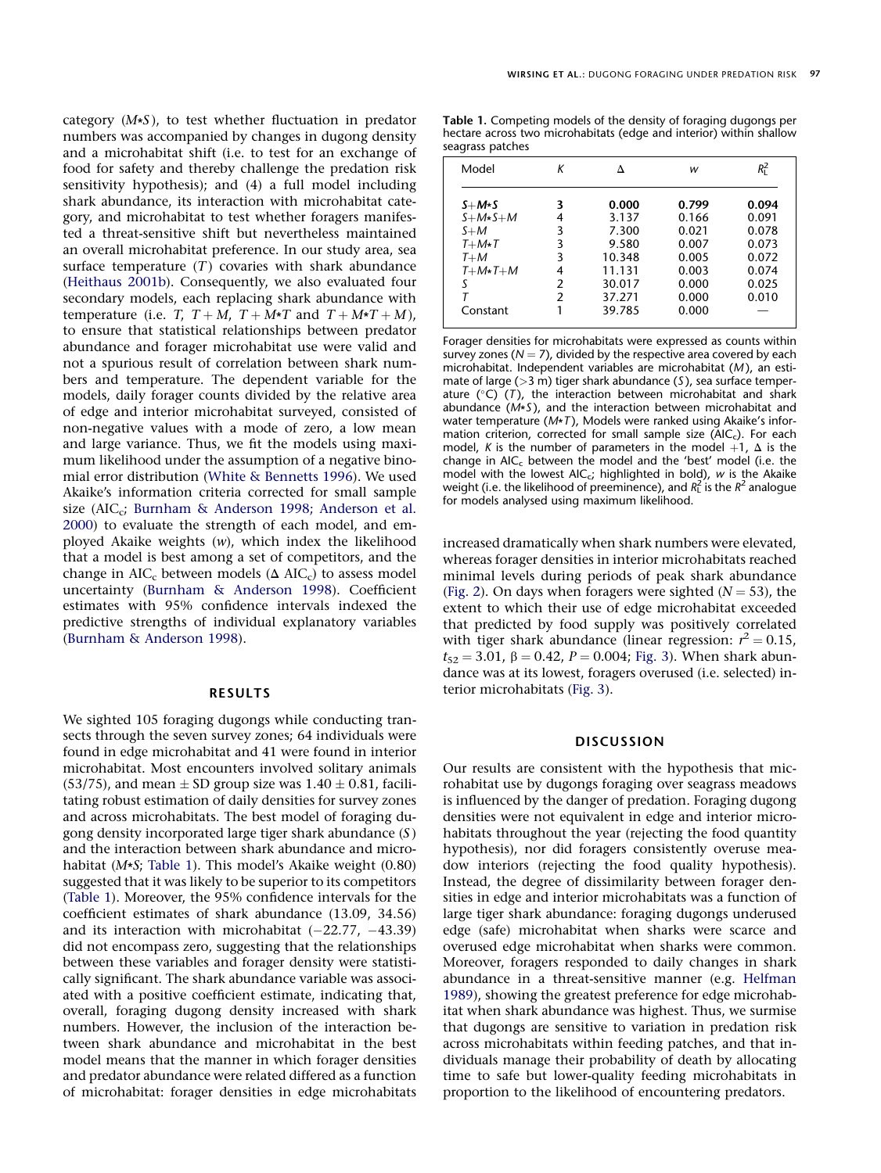category  $(M*S)$ , to test whether fluctuation in predator numbers was accompanied by changes in dugong density and a microhabitat shift (i.e. to test for an exchange of food for safety and thereby challenge the predation risk sensitivity hypothesis); and (4) a full model including shark abundance, its interaction with microhabitat category, and microhabitat to test whether foragers manifested a threat-sensitive shift but nevertheless maintained an overall microhabitat preference. In our study area, sea surface temperature  $(T)$  covaries with shark abundance ([Heithaus 2001b](#page-7-0)). Consequently, we also evaluated four secondary models, each replacing shark abundance with temperature (i.e. T,  $T + M$ ,  $T + M*T$  and  $T + M*T + M$ ), to ensure that statistical relationships between predator abundance and forager microhabitat use were valid and not a spurious result of correlation between shark numbers and temperature. The dependent variable for the models, daily forager counts divided by the relative area of edge and interior microhabitat surveyed, consisted of non-negative values with a mode of zero, a low mean and large variance. Thus, we fit the models using maximum likelihood under the assumption of a negative binomial error distribution ([White & Bennetts 1996\)](#page-8-0). We used Akaike's information criteria corrected for small sample size (AIC<sub>c</sub>; [Burnham & Anderson 1998; Anderson et al.](#page-7-0) [2000](#page-7-0)) to evaluate the strength of each model, and employed Akaike weights (w), which index the likelihood that a model is best among a set of competitors, and the change in  $AIC_c$  between models ( $\Delta AIC_c$ ) to assess model uncertainty ([Burnham & Anderson 1998\)](#page-7-0). Coefficient estimates with 95% confidence intervals indexed the predictive strengths of individual explanatory variables ([Burnham & Anderson 1998](#page-7-0)).

## RESULTS

We sighted 105 foraging dugongs while conducting transects through the seven survey zones; 64 individuals were found in edge microhabitat and 41 were found in interior microhabitat. Most encounters involved solitary animals  $(53/75)$ , and mean  $\pm$  SD group size was  $1.40 \pm 0.81$ , facilitating robust estimation of daily densities for survey zones and across microhabitats. The best model of foraging dugong density incorporated large tiger shark abundance (S ) and the interaction between shark abundance and microhabitat (M\*S; Table 1). This model's Akaike weight (0.80) suggested that it was likely to be superior to its competitors (Table 1). Moreover, the 95% confidence intervals for the coefficient estimates of shark abundance (13.09, 34.56) and its interaction with microhabitat  $(-22.77, -43.39)$ did not encompass zero, suggesting that the relationships between these variables and forager density were statistically significant. The shark abundance variable was associated with a positive coefficient estimate, indicating that, overall, foraging dugong density increased with shark numbers. However, the inclusion of the interaction between shark abundance and microhabitat in the best model means that the manner in which forager densities and predator abundance were related differed as a function of microhabitat: forager densities in edge microhabitats

Table 1. Competing models of the density of foraging dugongs per hectare across two microhabitats (edge and interior) within shallow seagrass patches

| Model          | К | л      | w     | $R_{\rm I}^2$ |
|----------------|---|--------|-------|---------------|
| $S+M*S$        | 3 | 0.000  | 0.799 | 0.094         |
| $S+M*S+M$      | 4 | 3.137  | 0.166 | 0.091         |
| $S+M$          | 3 | 7.300  | 0.021 | 0.078         |
| $T+M*T$        | 3 | 9.580  | 0.007 | 0.073         |
| $T+M$          | 3 | 10.348 | 0.005 | 0.072         |
| $T+M\star T+M$ | 4 | 11.131 | 0.003 | 0.074         |
| S              | 2 | 30.017 | 0.000 | 0.025         |
|                | 2 | 37.271 | 0.000 | 0.010         |
| Constant       |   | 39.785 | 0.000 |               |

Forager densities for microhabitats were expressed as counts within survey zones ( $N = 7$ ), divided by the respective area covered by each microhabitat. Independent variables are microhabitat (M), an estimate of large ( $>3$  m) tiger shark abundance (S), sea surface temperature  $(^{\circ}C)$  (T), the interaction between microhabitat and shark abundance  $(M*S)$ , and the interaction between microhabitat and water temperature ( $M*T$ ), Models were ranked using Akaike's information criterion, corrected for small sample size  $(ALC<sub>c</sub>)$ . For each model, K is the number of parameters in the model  $+1$ ,  $\Delta$  is the change in  $AIC_c$  between the model and the 'best' model (i.e. the model with the lowest AIC<sub>c</sub>; highlighted in bold), w is the Akaike weight (i.e. the likelihood of preeminence), and  $R_L^2$  is the  $R^2$  analogue for models analysed using maximum likelihood.

increased dramatically when shark numbers were elevated, whereas forager densities in interior microhabitats reached minimal levels during periods of peak shark abundance ([Fig. 2\)](#page-5-0). On days when foragers were sighted ( $N = 53$ ), the extent to which their use of edge microhabitat exceeded that predicted by food supply was positively correlated with tiger shark abundance (linear regression:  $r^2 = 0.15$ ,  $t_{52} = 3.01$ ,  $\beta = 0.42$ ,  $P = 0.004$ ; [Fig. 3](#page-6-0)). When shark abundance was at its lowest, foragers overused (i.e. selected) interior microhabitats ([Fig. 3](#page-6-0)).

#### **DISCUSSION**

Our results are consistent with the hypothesis that microhabitat use by dugongs foraging over seagrass meadows is influenced by the danger of predation. Foraging dugong densities were not equivalent in edge and interior microhabitats throughout the year (rejecting the food quantity hypothesis), nor did foragers consistently overuse meadow interiors (rejecting the food quality hypothesis). Instead, the degree of dissimilarity between forager densities in edge and interior microhabitats was a function of large tiger shark abundance: foraging dugongs underused edge (safe) microhabitat when sharks were scarce and overused edge microhabitat when sharks were common. Moreover, foragers responded to daily changes in shark abundance in a threat-sensitive manner (e.g. [Helfman](#page-7-0) [1989](#page-7-0)), showing the greatest preference for edge microhabitat when shark abundance was highest. Thus, we surmise that dugongs are sensitive to variation in predation risk across microhabitats within feeding patches, and that individuals manage their probability of death by allocating time to safe but lower-quality feeding microhabitats in proportion to the likelihood of encountering predators.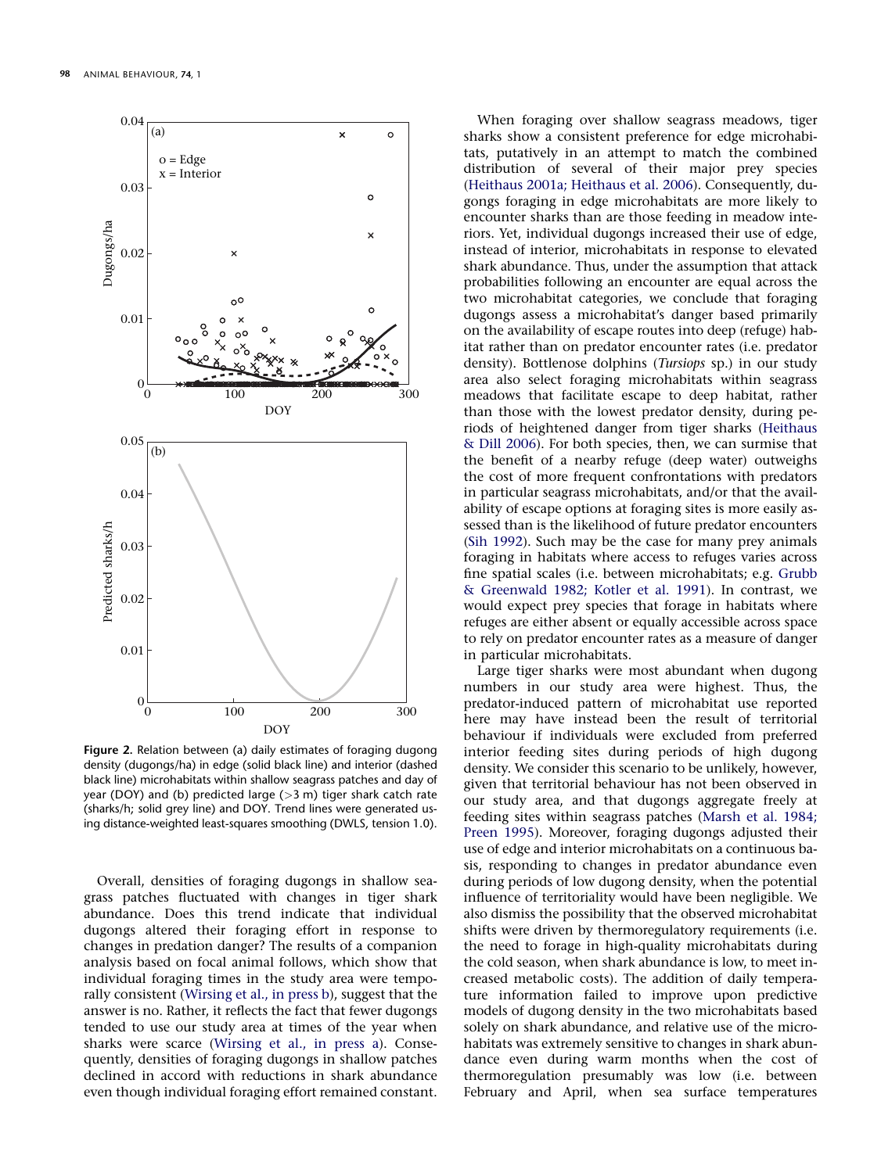<span id="page-5-0"></span>

Figure 2. Relation between (a) daily estimates of foraging dugong density (dugongs/ha) in edge (solid black line) and interior (dashed black line) microhabitats within shallow seagrass patches and day of year (DOY) and (b) predicted large ( $>3$  m) tiger shark catch rate (sharks/h; solid grey line) and DOY. Trend lines were generated using distance-weighted least-squares smoothing (DWLS, tension 1.0).

Overall, densities of foraging dugongs in shallow seagrass patches fluctuated with changes in tiger shark abundance. Does this trend indicate that individual dugongs altered their foraging effort in response to changes in predation danger? The results of a companion analysis based on focal animal follows, which show that individual foraging times in the study area were temporally consistent ([Wirsing et al., in press b\)](#page-8-0), suggest that the answer is no. Rather, it reflects the fact that fewer dugongs tended to use our study area at times of the year when sharks were scarce ([Wirsing et al., in press a](#page-8-0)). Consequently, densities of foraging dugongs in shallow patches declined in accord with reductions in shark abundance even though individual foraging effort remained constant.

When foraging over shallow seagrass meadows, tiger sharks show a consistent preference for edge microhabitats, putatively in an attempt to match the combined distribution of several of their major prey species ([Heithaus 2001a; Heithaus et al. 2006\)](#page-7-0). Consequently, dugongs foraging in edge microhabitats are more likely to encounter sharks than are those feeding in meadow interiors. Yet, individual dugongs increased their use of edge, instead of interior, microhabitats in response to elevated shark abundance. Thus, under the assumption that attack probabilities following an encounter are equal across the two microhabitat categories, we conclude that foraging dugongs assess a microhabitat's danger based primarily on the availability of escape routes into deep (refuge) habitat rather than on predator encounter rates (i.e. predator density). Bottlenose dolphins (Tursiops sp.) in our study area also select foraging microhabitats within seagrass meadows that facilitate escape to deep habitat, rather than those with the lowest predator density, during periods of heightened danger from tiger sharks ([Heithaus](#page-7-0) [& Dill 2006\)](#page-7-0). For both species, then, we can surmise that the benefit of a nearby refuge (deep water) outweighs the cost of more frequent confrontations with predators in particular seagrass microhabitats, and/or that the availability of escape options at foraging sites is more easily assessed than is the likelihood of future predator encounters ([Sih 1992\)](#page-8-0). Such may be the case for many prey animals foraging in habitats where access to refuges varies across fine spatial scales (i.e. between microhabitats; e.g. [Grubb](#page-7-0) [& Greenwald 1982; Kotler et al. 1991\)](#page-7-0). In contrast, we would expect prey species that forage in habitats where refuges are either absent or equally accessible across space to rely on predator encounter rates as a measure of danger in particular microhabitats.

Large tiger sharks were most abundant when dugong numbers in our study area were highest. Thus, the predator-induced pattern of microhabitat use reported here may have instead been the result of territorial behaviour if individuals were excluded from preferred interior feeding sites during periods of high dugong density. We consider this scenario to be unlikely, however, given that territorial behaviour has not been observed in our study area, and that dugongs aggregate freely at feeding sites within seagrass patches [\(Marsh et al. 1984;](#page-8-0) [Preen 1995](#page-8-0)). Moreover, foraging dugongs adjusted their use of edge and interior microhabitats on a continuous basis, responding to changes in predator abundance even during periods of low dugong density, when the potential influence of territoriality would have been negligible. We also dismiss the possibility that the observed microhabitat shifts were driven by thermoregulatory requirements (i.e. the need to forage in high-quality microhabitats during the cold season, when shark abundance is low, to meet increased metabolic costs). The addition of daily temperature information failed to improve upon predictive models of dugong density in the two microhabitats based solely on shark abundance, and relative use of the microhabitats was extremely sensitive to changes in shark abundance even during warm months when the cost of thermoregulation presumably was low (i.e. between February and April, when sea surface temperatures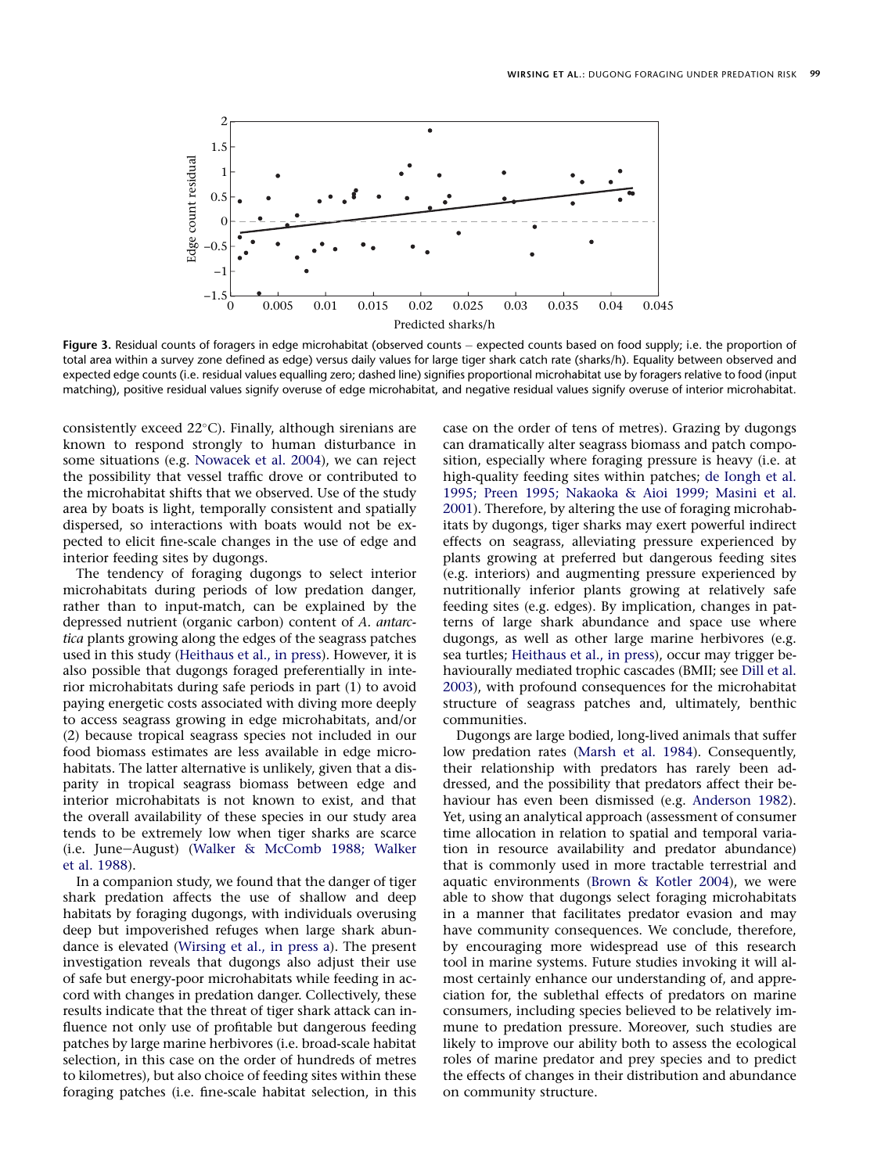<span id="page-6-0"></span>

Figure 3. Residual counts of foragers in edge microhabitat (observed counts – expected counts based on food supply; i.e. the proportion of total area within a survey zone defined as edge) versus daily values for large tiger shark catch rate (sharks/h). Equality between observed and expected edge counts (i.e. residual values equalling zero; dashed line) signifies proportional microhabitat use by foragers relative to food (input matching), positive residual values signify overuse of edge microhabitat, and negative residual values signify overuse of interior microhabitat.

consistently exceed 22°C). Finally, although sirenians are known to respond strongly to human disturbance in some situations (e.g. [Nowacek et al. 2004](#page-8-0)), we can reject the possibility that vessel traffic drove or contributed to the microhabitat shifts that we observed. Use of the study area by boats is light, temporally consistent and spatially dispersed, so interactions with boats would not be expected to elicit fine-scale changes in the use of edge and interior feeding sites by dugongs.

The tendency of foraging dugongs to select interior microhabitats during periods of low predation danger, rather than to input-match, can be explained by the depressed nutrient (organic carbon) content of A. antarctica plants growing along the edges of the seagrass patches used in this study [\(Heithaus et al., in press](#page-7-0)). However, it is also possible that dugongs foraged preferentially in interior microhabitats during safe periods in part (1) to avoid paying energetic costs associated with diving more deeply to access seagrass growing in edge microhabitats, and/or (2) because tropical seagrass species not included in our food biomass estimates are less available in edge microhabitats. The latter alternative is unlikely, given that a disparity in tropical seagrass biomass between edge and interior microhabitats is not known to exist, and that the overall availability of these species in our study area tends to be extremely low when tiger sharks are scarce (i.e. June-August) ([Walker & McComb 1988; Walker](#page-8-0) [et al. 1988](#page-8-0)).

In a companion study, we found that the danger of tiger shark predation affects the use of shallow and deep habitats by foraging dugongs, with individuals overusing deep but impoverished refuges when large shark abundance is elevated [\(Wirsing et al., in press a](#page-8-0)). The present investigation reveals that dugongs also adjust their use of safe but energy-poor microhabitats while feeding in accord with changes in predation danger. Collectively, these results indicate that the threat of tiger shark attack can influence not only use of profitable but dangerous feeding patches by large marine herbivores (i.e. broad-scale habitat selection, in this case on the order of hundreds of metres to kilometres), but also choice of feeding sites within these foraging patches (i.e. fine-scale habitat selection, in this

case on the order of tens of metres). Grazing by dugongs can dramatically alter seagrass biomass and patch composition, especially where foraging pressure is heavy (i.e. at high-quality feeding sites within patches; [de Iongh et al.](#page-7-0) [1995; Preen 1995; Nakaoka & Aioi 1999; Masini et al.](#page-7-0) [2001](#page-7-0)). Therefore, by altering the use of foraging microhabitats by dugongs, tiger sharks may exert powerful indirect effects on seagrass, alleviating pressure experienced by plants growing at preferred but dangerous feeding sites (e.g. interiors) and augmenting pressure experienced by nutritionally inferior plants growing at relatively safe feeding sites (e.g. edges). By implication, changes in patterns of large shark abundance and space use where dugongs, as well as other large marine herbivores (e.g. sea turtles; [Heithaus et al., in press\)](#page-7-0), occur may trigger behaviourally mediated trophic cascades (BMII; see [Dill et al.](#page-7-0) [2003](#page-7-0)), with profound consequences for the microhabitat structure of seagrass patches and, ultimately, benthic communities.

Dugongs are large bodied, long-lived animals that suffer low predation rates ([Marsh et al. 1984\)](#page-8-0). Consequently, their relationship with predators has rarely been addressed, and the possibility that predators affect their behaviour has even been dismissed (e.g. [Anderson 1982](#page-7-0)). Yet, using an analytical approach (assessment of consumer time allocation in relation to spatial and temporal variation in resource availability and predator abundance) that is commonly used in more tractable terrestrial and aquatic environments ([Brown & Kotler 2004](#page-7-0)), we were able to show that dugongs select foraging microhabitats in a manner that facilitates predator evasion and may have community consequences. We conclude, therefore, by encouraging more widespread use of this research tool in marine systems. Future studies invoking it will almost certainly enhance our understanding of, and appreciation for, the sublethal effects of predators on marine consumers, including species believed to be relatively immune to predation pressure. Moreover, such studies are likely to improve our ability both to assess the ecological roles of marine predator and prey species and to predict the effects of changes in their distribution and abundance on community structure.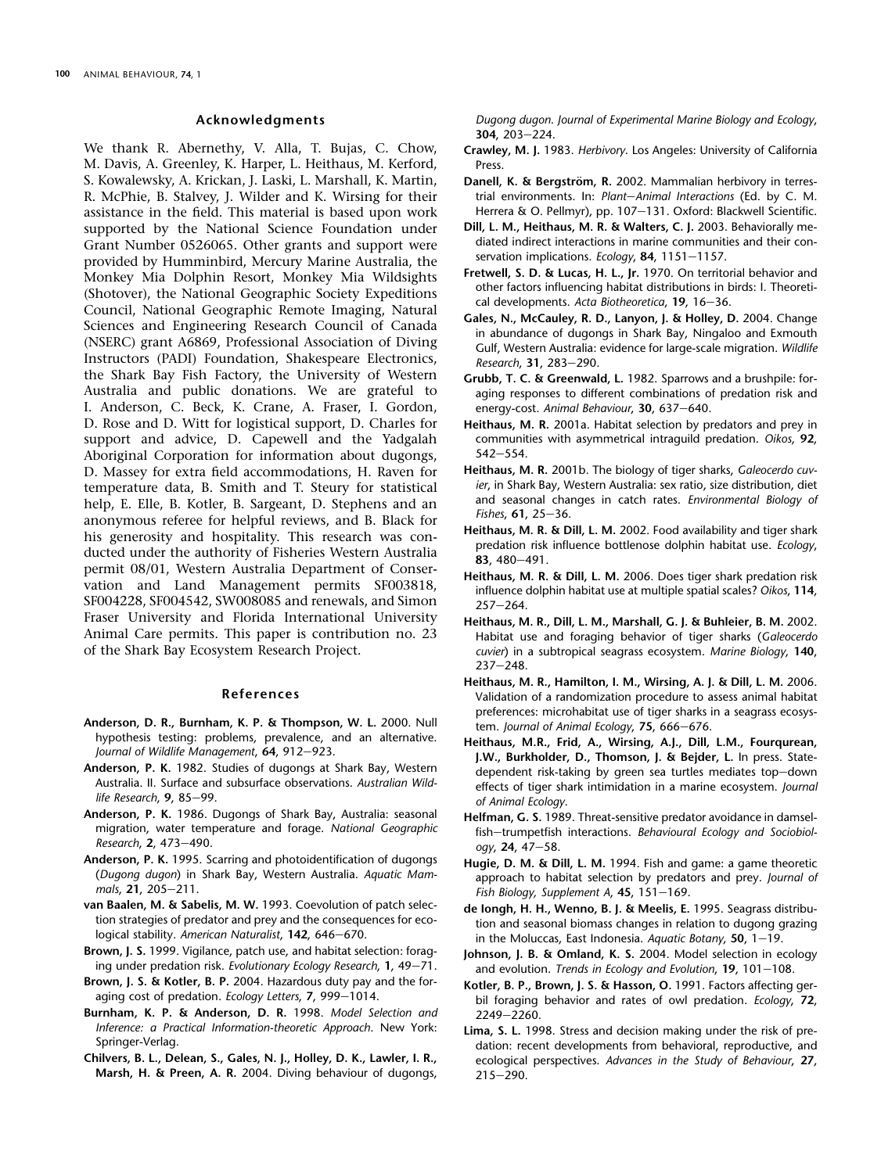## Acknowledgments

<span id="page-7-0"></span>We thank R. Abernethy, V. Alla, T. Bujas, C. Chow, M. Davis, A. Greenley, K. Harper, L. Heithaus, M. Kerford, S. Kowalewsky, A. Krickan, J. Laski, L. Marshall, K. Martin, R. McPhie, B. Stalvey, J. Wilder and K. Wirsing for their assistance in the field. This material is based upon work supported by the National Science Foundation under Grant Number 0526065. Other grants and support were provided by Humminbird, Mercury Marine Australia, the Monkey Mia Dolphin Resort, Monkey Mia Wildsights (Shotover), the National Geographic Society Expeditions Council, National Geographic Remote Imaging, Natural Sciences and Engineering Research Council of Canada (NSERC) grant A6869, Professional Association of Diving Instructors (PADI) Foundation, Shakespeare Electronics, the Shark Bay Fish Factory, the University of Western Australia and public donations. We are grateful to I. Anderson, C. Beck, K. Crane, A. Fraser, I. Gordon, D. Rose and D. Witt for logistical support, D. Charles for support and advice, D. Capewell and the Yadgalah Aboriginal Corporation for information about dugongs, D. Massey for extra field accommodations, H. Raven for temperature data, B. Smith and T. Steury for statistical help, E. Elle, B. Kotler, B. Sargeant, D. Stephens and an anonymous referee for helpful reviews, and B. Black for his generosity and hospitality. This research was conducted under the authority of Fisheries Western Australia permit 08/01, Western Australia Department of Conservation and Land Management permits SF003818, SF004228, SF004542, SW008085 and renewals, and Simon Fraser University and Florida International University Animal Care permits. This paper is contribution no. 23 of the Shark Bay Ecosystem Research Project.

#### References

- Anderson, D. R., Burnham, K. P. & Thompson, W. L. 2000. Null hypothesis testing: problems, prevalence, and an alternative. Journal of Wildlife Management, 64, 912-923.
- Anderson, P. K. 1982. Studies of dugongs at Shark Bay, Western Australia. II. Surface and subsurface observations. Australian Wildlife Research,  $9, 85-99.$
- Anderson, P. K. 1986. Dugongs of Shark Bay, Australia: seasonal migration, water temperature and forage. National Geographic Research, 2, 473-490.
- Anderson, P. K. 1995. Scarring and photoidentification of dugongs (Dugong dugon) in Shark Bay, Western Australia. Aquatic Mammals, 21, 205-211.
- van Baalen, M. & Sabelis, M. W. 1993. Coevolution of patch selection strategies of predator and prey and the consequences for ecological stability. American Naturalist, 142, 646-670.
- Brown, J. S. 1999. Vigilance, patch use, and habitat selection: foraging under predation risk. Evolutionary Ecology Research,  $1, 49-71$ .
- Brown, J. S. & Kotler, B. P. 2004. Hazardous duty pay and the foraging cost of predation. Ecology Letters, 7, 999-1014.
- Burnham, K. P. & Anderson, D. R. 1998. Model Selection and Inference: a Practical Information-theoretic Approach. New York: Springer-Verlag.
- Chilvers, B. L., Delean, S., Gales, N. J., Holley, D. K., Lawler, I. R., Marsh, H. & Preen, A. R. 2004. Diving behaviour of dugongs,

Dugong dugon. Journal of Experimental Marine Biology and Ecology, 304, 203-224.

- Crawley, M. J. 1983. Herbivory. Los Angeles: University of California Press.
- Danell, K. & Bergström, R. 2002. Mammalian herbivory in terrestrial environments. In: Plant-Animal Interactions (Ed. by C. M. Herrera & O. Pellmyr), pp. 107-131. Oxford: Blackwell Scientific.
- Dill, L. M., Heithaus, M. R. & Walters, C. J. 2003. Behaviorally mediated indirect interactions in marine communities and their conservation implications. Ecology, 84, 1151-1157.
- Fretwell, S. D. & Lucas, H. L., Jr. 1970. On territorial behavior and other factors influencing habitat distributions in birds: I. Theoretical developments. Acta Biotheoretica,  $19$ ,  $16-36$ .
- Gales, N., McCauley, R. D., Lanyon, J. & Holley, D. 2004. Change in abundance of dugongs in Shark Bay, Ningaloo and Exmouth Gulf, Western Australia: evidence for large-scale migration. Wildlife Research, 31, 283-290.
- Grubb, T. C. & Greenwald, L. 1982. Sparrows and a brushpile: foraging responses to different combinations of predation risk and energy-cost. Animal Behaviour, 30, 637-640.
- Heithaus, M. R. 2001a. Habitat selection by predators and prey in communities with asymmetrical intraguild predation. Oikos, 92,  $542 - 554.$
- Heithaus, M. R. 2001b. The biology of tiger sharks, Galeocerdo cuvier, in Shark Bay, Western Australia: sex ratio, size distribution, diet and seasonal changes in catch rates. Environmental Biology of Fishes,  $61, 25-36.$
- Heithaus, M. R. & Dill, L. M. 2002. Food availability and tiger shark predation risk influence bottlenose dolphin habitat use. Ecology, 83, 480-491.
- Heithaus, M. R. & Dill, L. M. 2006. Does tiger shark predation risk influence dolphin habitat use at multiple spatial scales? Oikos, 114,  $257 - 264$ .
- Heithaus, M. R., Dill, L. M., Marshall, G. J. & Buhleier, B. M. 2002. Habitat use and foraging behavior of tiger sharks (Galeocerdo cuvier) in a subtropical seagrass ecosystem. Marine Biology, 140,  $237 - 248.$
- Heithaus, M. R., Hamilton, I. M., Wirsing, A. J. & Dill, L. M. 2006. Validation of a randomization procedure to assess animal habitat preferences: microhabitat use of tiger sharks in a seagrass ecosystem. Journal of Animal Ecology,  $75$ , 666-676.
- Heithaus, M.R., Frid, A., Wirsing, A.J., Dill, L.M., Fourqurean, J.W., Burkholder, D., Thomson, J. & Bejder, L. In press. Statedependent risk-taking by green sea turtles mediates top-down effects of tiger shark intimidation in a marine ecosystem. Journal of Animal Ecology.
- Helfman, G. S. 1989. Threat-sensitive predator avoidance in damselfish-trumpetfish interactions. Behavioural Ecology and Sociobiology, 24, 47-58.
- Hugie, D. M. & Dill, L. M. 1994. Fish and game: a game theoretic approach to habitat selection by predators and prey. Journal of Fish Biology, Supplement A,  $45$ ,  $151-169$ .
- de Iongh, H. H., Wenno, B. J. & Meelis, E. 1995. Seagrass distribution and seasonal biomass changes in relation to dugong grazing in the Moluccas, East Indonesia. Aquatic Botany,  $50$ ,  $1-19$ .
- Johnson, J. B. & Omland, K. S. 2004. Model selection in ecology and evolution. Trends in Ecology and Evolution,  $19$ ,  $101-108$ .
- Kotler, B. P., Brown, J. S. & Hasson, O. 1991. Factors affecting gerbil foraging behavior and rates of owl predation. Ecology, 72, 2249-2260.
- Lima, S. L. 1998. Stress and decision making under the risk of predation: recent developments from behavioral, reproductive, and ecological perspectives. Advances in the Study of Behaviour, 27,  $215 - 290.$